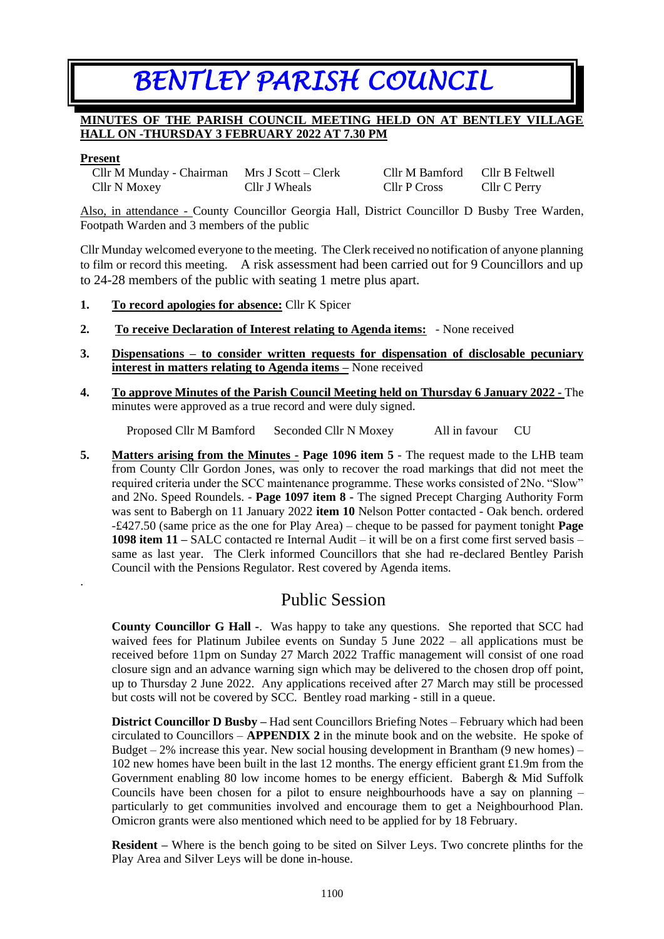# *BENTLEY PARISH COUNCIL*

#### **MINUTES OF THE PARISH COUNCIL MEETING HELD ON AT BENTLEY VILLAGE HALL ON -THURSDAY 3 FEBRUARY 2022 AT 7.30 PM**

#### **Present**

.

| Cllr M Munday - Chairman | Mrs J Scott $-$ Cl |
|--------------------------|--------------------|
| Cllr N Moxey             | Cllr J Wheals      |

 $\text{erk}$  Cllr M Bamford – Cllr B Feltwell Cllr P Cross Cllr C Perry

Also, in attendance - County Councillor Georgia Hall, District Councillor D Busby Tree Warden, Footpath Warden and 3 members of the public

Cllr Munday welcomed everyone to the meeting. The Clerk received no notification of anyone planning to film or record this meeting. A risk assessment had been carried out for 9 Councillors and up to 24-28 members of the public with seating 1 metre plus apart.

- **1. To record apologies for absence:** Cllr K Spicer
- **2. To receive Declaration of Interest relating to Agenda items:** None received
- **3. Dispensations – to consider written requests for dispensation of disclosable pecuniary interest in matters relating to Agenda items –** None received
- **4. To approve Minutes of the Parish Council Meeting held on Thursday 6 January 2022 -** The minutes were approved as a true record and were duly signed.

Proposed Cllr M Bamford Seconded Cllr N Moxey All in favour CU

**5. Matters arising from the Minutes - Page 1096 item 5** - The request made to the LHB team from County Cllr Gordon Jones, was only to recover the road markings that did not meet the required criteria under the SCC maintenance programme. These works consisted of 2No. "Slow" and 2No. Speed Roundels. - **Page 1097 item 8 -** The signed Precept Charging Authority Form was sent to Babergh on 11 January 2022 **item 10** Nelson Potter contacted - Oak bench. ordered -£427.50 (same price as the one for Play Area) – cheque to be passed for payment tonight **Page 1098 item 11 –** SALC contacted re Internal Audit – it will be on a first come first served basis – same as last year. The Clerk informed Councillors that she had re-declared Bentley Parish Council with the Pensions Regulator. Rest covered by Agenda items.

## Public Session

**County Councillor G Hall -**. Was happy to take any questions. She reported that SCC had waived fees for Platinum Jubilee events on Sunday 5 June 2022 – all applications must be received before 11pm on Sunday 27 March 2022 Traffic management will consist of one road closure sign and an advance warning sign which may be delivered to the chosen drop off point, up to Thursday 2 June 2022. Any applications received after 27 March may still be processed but costs will not be covered by SCC. Bentley road marking - still in a queue.

**District Councillor D Busby –** Had sent Councillors Briefing Notes – February which had been circulated to Councillors – **APPENDIX 2** in the minute book and on the website. He spoke of Budget –  $2\%$  increase this year. New social housing development in Brantham (9 new homes) – 102 new homes have been built in the last 12 months. The energy efficient grant £1.9m from the Government enabling 80 low income homes to be energy efficient. Babergh & Mid Suffolk Councils have been chosen for a pilot to ensure neighbourhoods have a say on planning – particularly to get communities involved and encourage them to get a Neighbourhood Plan. Omicron grants were also mentioned which need to be applied for by 18 February.

**Resident –** Where is the bench going to be sited on Silver Leys. Two concrete plinths for the Play Area and Silver Leys will be done in-house.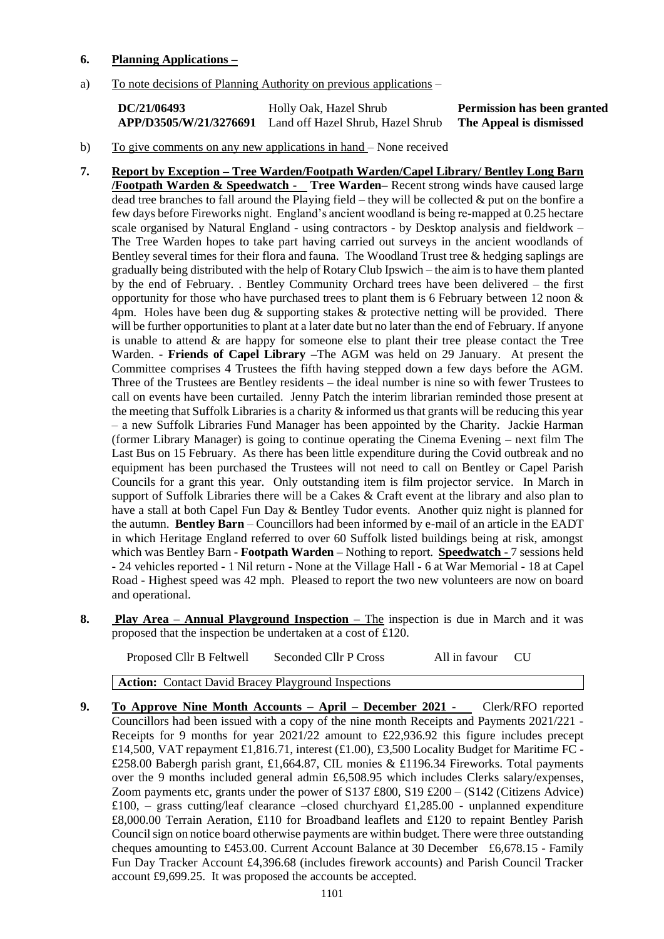#### **6. Planning Applications –**

#### a) To note decisions of Planning Authority on previous applications –

**DC/21/06493** Holly Oak, Hazel Shrub **Permission has been granted APP/D3505/W/21/3276691** Land off Hazel Shrub, Hazel Shrub **The Appeal is dismissed**

- b) To give comments on any new applications in hand None received
- **7. Report by Exception – Tree Warden/Footpath Warden/Capel Library/ Bentley Long Barn /Footpath Warden & Speedwatch - Tree Warden–** Recent strong winds have caused large dead tree branches to fall around the Playing field – they will be collected  $\&$  put on the bonfire a few days before Fireworks night. England's ancient woodland is being re-mapped at 0.25 hectare scale organised by Natural England - using contractors - by Desktop analysis and fieldwork – The Tree Warden hopes to take part having carried out surveys in the ancient woodlands of Bentley several times for their flora and fauna. The Woodland Trust tree & hedging saplings are gradually being distributed with the help of Rotary Club Ipswich – the aim is to have them planted by the end of February. . Bentley Community Orchard trees have been delivered – the first opportunity for those who have purchased trees to plant them is 6 February between 12 noon  $\&$  $\frac{4}{2}$ pm. Holes have been dug & supporting stakes & protective netting will be provided. There will be further opportunities to plant at a later date but no later than the end of February. If anyone is unable to attend & are happy for someone else to plant their tree please contact the Tree Warden. - **Friends of Capel Library –**The AGM was held on 29 January. At present the Committee comprises 4 Trustees the fifth having stepped down a few days before the AGM. Three of the Trustees are Bentley residents – the ideal number is nine so with fewer Trustees to call on events have been curtailed. Jenny Patch the interim librarian reminded those present at the meeting that Suffolk Libraries is a charity & informed us that grants will be reducing this year – a new Suffolk Libraries Fund Manager has been appointed by the Charity. Jackie Harman (former Library Manager) is going to continue operating the Cinema Evening – next film The Last Bus on 15 February. As there has been little expenditure during the Covid outbreak and no equipment has been purchased the Trustees will not need to call on Bentley or Capel Parish Councils for a grant this year. Only outstanding item is film projector service. In March in support of Suffolk Libraries there will be a Cakes & Craft event at the library and also plan to have a stall at both Capel Fun Day & Bentley Tudor events. Another quiz night is planned for the autumn. **Bentley Barn** – Councillors had been informed by e-mail of an article in the EADT in which Heritage England referred to over 60 Suffolk listed buildings being at risk, amongst which was Bentley Barn **- Footpath Warden –** Nothing to report. **Speedwatch -** 7 sessions held - 24 vehicles reported - 1 Nil return - None at the Village Hall - 6 at War Memorial - 18 at Capel Road - Highest speed was 42 mph. Pleased to report the two new volunteers are now on board and operational.
- **8. Play Area – Annual Playground Inspection –** The inspection is due in March and it was proposed that the inspection be undertaken at a cost of £120.

Proposed Cllr B Feltwell Seconded Cllr P Cross All in favour CU

**Action:** Contact David Bracey Playground Inspections

**9. To Approve Nine Month Accounts – April – December 2021 -** Clerk/RFO reported Councillors had been issued with a copy of the nine month Receipts and Payments 2021/221 - Receipts for 9 months for year 2021/22 amount to £22,936.92 this figure includes precept £14,500, VAT repayment £1,816.71, interest (£1.00), £3,500 Locality Budget for Maritime FC - £258.00 Babergh parish grant, £1,664.87, CIL monies & £1196.34 Fireworks. Total payments over the 9 months included general admin £6,508.95 which includes Clerks salary/expenses, Zoom payments etc, grants under the power of  $S137 \text{ £}800$ ,  $S19 \text{ £}200 - (S142 \text{ (Citizens} Advice)$ £100, – grass cutting/leaf clearance –closed churchyard £1,285.00 - unplanned expenditure £8,000.00 Terrain Aeration, £110 for Broadband leaflets and £120 to repaint Bentley Parish Council sign on notice board otherwise payments are within budget. There were three outstanding cheques amounting to £453.00. Current Account Balance at 30 December £6,678.15 - Family Fun Day Tracker Account £4,396.68 (includes firework accounts) and Parish Council Tracker account £9,699.25. It was proposed the accounts be accepted.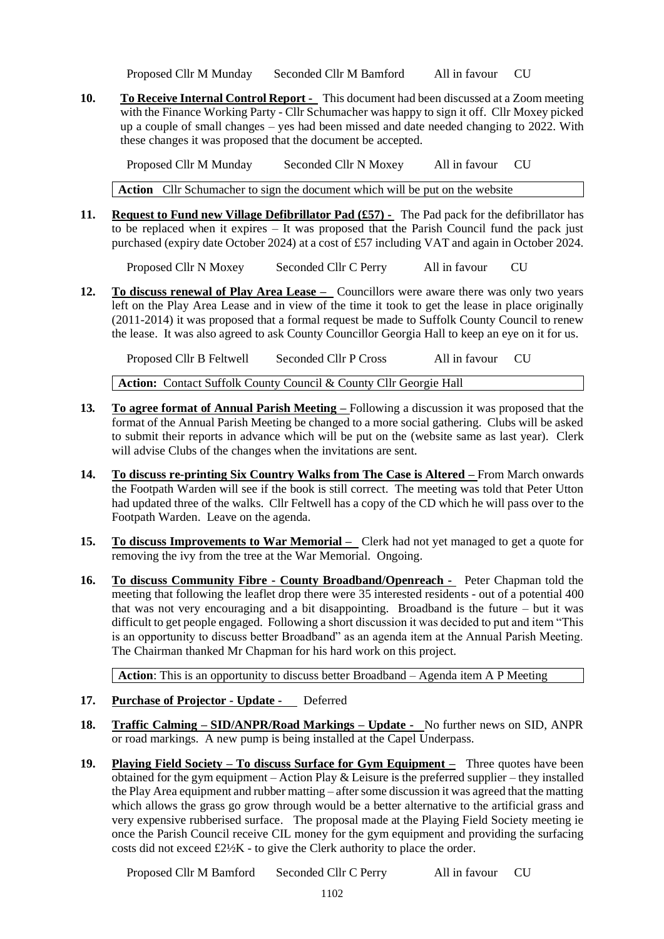Proposed Cllr M Munday Seconded Cllr M Bamford All in favour CU

**10. To Receive Internal Control Report -** This document had been discussed at a Zoom meeting with the Finance Working Party - Cllr Schumacher was happy to sign it off. Cllr Moxey picked up a couple of small changes – yes had been missed and date needed changing to 2022. With these changes it was proposed that the document be accepted.

Proposed Cllr M Munday Seconded Cllr N Moxey All in favour CU

**Action** Cllr Schumacher to sign the document which will be put on the website

**11. Request to Fund new Village Defibrillator Pad (£57) -** The Pad pack for the defibrillator has to be replaced when it expires  $-$  It was proposed that the Parish Council fund the pack just purchased (expiry date October 2024) at a cost of £57 including VAT and again in October 2024.

Proposed Cllr N Moxey Seconded Cllr C Perry All in favour CU

**12. To discuss renewal of Play Area Lease –** Councillors were aware there was only two years left on the Play Area Lease and in view of the time it took to get the lease in place originally (2011-2014) it was proposed that a formal request be made to Suffolk County Council to renew the lease. It was also agreed to ask County Councillor Georgia Hall to keep an eye on it for us.

Proposed Cllr B Feltwell Seconded Cllr P Cross All in favour CU

**Action:** Contact Suffolk County Council & County Cllr Georgie Hall

- **13***.* **To agree format of Annual Parish Meeting –** Following a discussion it was proposed that the format of the Annual Parish Meeting be changed to a more social gathering. Clubs will be asked to submit their reports in advance which will be put on the (website same as last year). Clerk will advise Clubs of the changes when the invitations are sent.
- **14. To discuss re-printing Six Country Walks from The Case is Altered –** From March onwards the Footpath Warden will see if the book is still correct. The meeting was told that Peter Utton had updated three of the walks. Cllr Feltwell has a copy of the CD which he will pass over to the Footpath Warden. Leave on the agenda.
- **15. To discuss Improvements to War Memorial** Clerk had not yet managed to get a quote for removing the ivy from the tree at the War Memorial. Ongoing.
- **16. To discuss Community Fibre - County Broadband/Openreach -** Peter Chapman told the meeting that following the leaflet drop there were 35 interested residents - out of a potential 400 that was not very encouraging and a bit disappointing. Broadband is the future – but it was difficult to get people engaged. Following a short discussion it was decided to put and item "This is an opportunity to discuss better Broadband" as an agenda item at the Annual Parish Meeting. The Chairman thanked Mr Chapman for his hard work on this project.

**Action**: This is an opportunity to discuss better Broadband – Agenda item A P Meeting

- **17. Purchase of Projector - Update** Deferred
- **18. Traffic Calming – SID/ANPR/Road Markings – Update** No further news on SID, ANPR or road markings. A new pump is being installed at the Capel Underpass.
- **19. Playing Field Society – To discuss Surface for Gym Equipment –** Three quotes have been obtained for the gym equipment – Action Play  $&$  Leisure is the preferred supplier – they installed the Play Area equipment and rubber matting – after some discussion it was agreed that the matting which allows the grass go grow through would be a better alternative to the artificial grass and very expensive rubberised surface. The proposal made at the Playing Field Society meeting ie once the Parish Council receive CIL money for the gym equipment and providing the surfacing costs did not exceed £2½K - to give the Clerk authority to place the order.

Proposed Cllr M Bamford Seconded Cllr C Perry All in favour CU